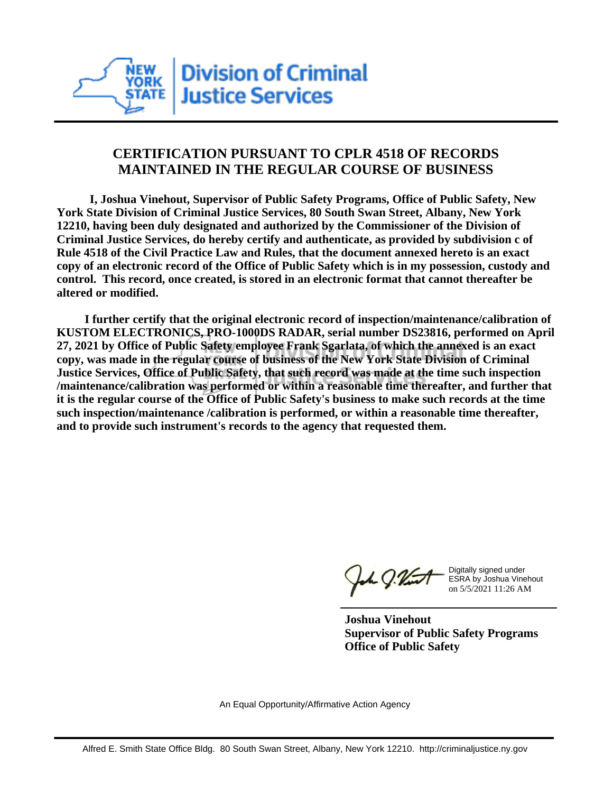

## **CERTIFICATION PURSUANT TO CPLR 4518 OF RECORDS MAINTAINED IN THE REGULAR COURSE OF BUSINESS**

 **I, Joshua Vinehout, Supervisor of Public Safety Programs, Office of Public Safety, New York State Division of Criminal Justice Services, 80 South Swan Street, Albany, New York 12210, having been duly designated and authorized by the Commissioner of the Division of Criminal Justice Services, do hereby certify and authenticate, as provided by subdivision c of Rule 4518 of the Civil Practice Law and Rules, that the document annexed hereto is an exact copy of an electronic record of the Office of Public Safety which is in my possession, custody and control. This record, once created, is stored in an electronic format that cannot thereafter be altered or modified.**

 **I further certify that the original electronic record of inspection/maintenance/calibration of KUSTOM ELECTRONICS, PRO-1000DS RADAR, serial number DS23816, performed on April 27, 2021 by Office of Public Safety employee Frank Sgarlata, of which the annexed is an exact copy, was made in the regular course of business of the New York State Division of Criminal Justice Services, Office of Public Safety, that such record was made at the time such inspection /maintenance/calibration was performed or within a reasonable time thereafter, and further that it is the regular course of the Office of Public Safety's business to make such records at the time such inspection/maintenance /calibration is performed, or within a reasonable time thereafter, and to provide such instrument's records to the agency that requested them.**

the J. Vint

Digitally signed under ESRA by Joshua Vinehout on 5/5/2021 11:26 AM

**Joshua Vinehout Supervisor of Public Safety Programs Office of Public Safety**

An Equal Opportunity/Affirmative Action Agency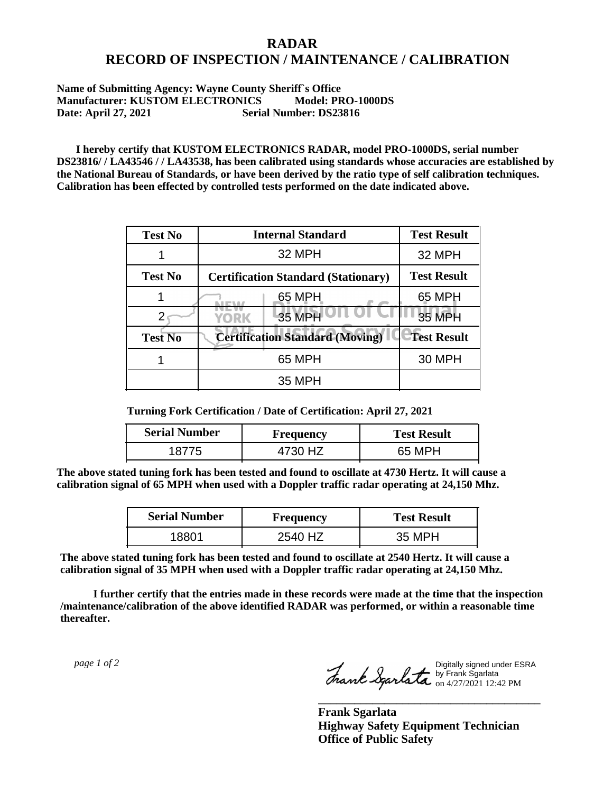## **RADAR RECORD OF INSPECTION / MAINTENANCE / CALIBRATION**

## **Name of Submitting Agency: Wayne County Sheriff`s Office Manufacturer: KUSTOM ELECTRONICS Model: PRO-1000DS Date: April 27, 2021 Serial Number: DS23816**

 **I hereby certify that KUSTOM ELECTRONICS RADAR, model PRO-1000DS, serial number DS23816/ / LA43546 / / LA43538, has been calibrated using standards whose accuracies are established by the National Bureau of Standards, or have been derived by the ratio type of self calibration techniques. Calibration has been effected by controlled tests performed on the date indicated above.**

| <b>Test No</b> | <b>Internal Standard</b>                   | <b>Test Result</b> |
|----------------|--------------------------------------------|--------------------|
|                | 32 MPH                                     | 32 MPH             |
| <b>Test No</b> | <b>Certification Standard (Stationary)</b> | <b>Test Result</b> |
|                | 65 MPH                                     | 65 MPH             |
|                | 35 MPH<br>YORK                             | <b>35 MPH</b>      |
| <b>Test No</b> | <b>Certification Standard (Moving)</b>     | <b>Test Result</b> |
|                | 65 MPH                                     | <b>30 MPH</b>      |
|                | 35 MPH                                     |                    |

**Turning Fork Certification / Date of Certification: April 27, 2021**

| <b>Serial Number</b> | <b>Frequency</b> | <b>Test Result</b> |
|----------------------|------------------|--------------------|
| 1 X 7                | 4730 HZ          | 65 MPH             |

**The above stated tuning fork has been tested and found to oscillate at 4730 Hertz. It will cause a calibration signal of 65 MPH when used with a Doppler traffic radar operating at 24,150 Mhz.**

| <b>Serial Number</b> | Frequency | <b>Test Result</b> |
|----------------------|-----------|--------------------|
| 18801                | 2540 HZ   | 35 MPH             |

**The above stated tuning fork has been tested and found to oscillate at 2540 Hertz. It will cause a calibration signal of 35 MPH when used with a Doppler traffic radar operating at 24,150 Mhz.**

 **I further certify that the entries made in these records were made at the time that the inspection /maintenance/calibration of the above identified RADAR was performed, or within a reasonable time thereafter.**

 *page 1 of 2* 

Digitally signed under ESRA by Frank Sgarlata on 4/27/2021 12:42 PM

**\_\_\_\_\_\_\_\_\_\_\_\_\_\_\_\_\_\_\_\_\_\_\_\_\_\_\_\_\_\_\_\_\_\_\_\_\_**

**Frank Sgarlata Highway Safety Equipment Technician Office of Public Safety**